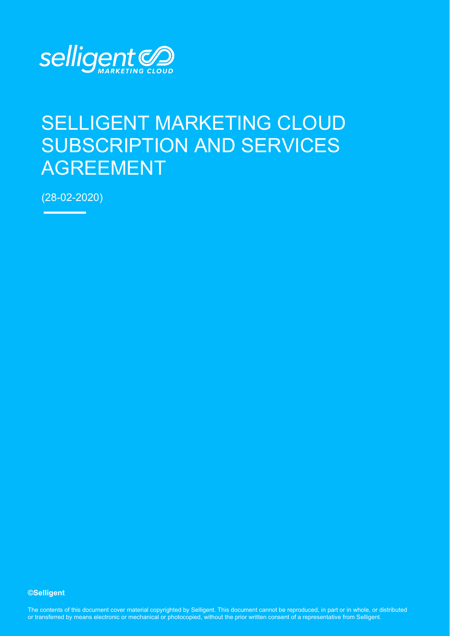

# SELLIGENT MARKETING CLOUD SUBSCRIPTION AND SERVICES AGREEMENT

(28-02-2020)

#### **©Selligent**

The contents of this document cover material copyrighted by Selligent. This document cannot be reproduced, in part or in whole, or distributed or transferred by means electronic or mechanical or photocopied, without the prior written consent of a representative from Selligent.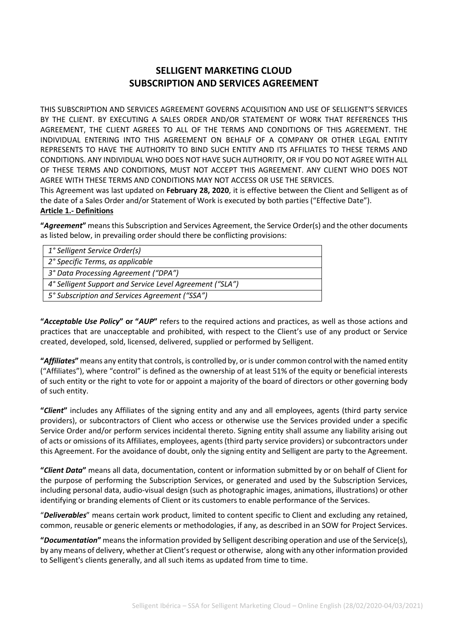# **SELLIGENT MARKETING CLOUD SUBSCRIPTION AND SERVICES AGREEMENT**

THIS SUBSCRIPTION AND SERVICES AGREEMENT GOVERNS ACQUISITION AND USE OF SELLIGENT'S SERVICES BY THE CLIENT. BY EXECUTING A SALES ORDER AND/OR STATEMENT OF WORK THAT REFERENCES THIS AGREEMENT, THE CLIENT AGREES TO ALL OF THE TERMS AND CONDITIONS OF THIS AGREEMENT. THE INDIVIDUAL ENTERING INTO THIS AGREEMENT ON BEHALF OF A COMPANY OR OTHER LEGAL ENTITY REPRESENTS TO HAVE THE AUTHORITY TO BIND SUCH ENTITY AND ITS AFFILIATES TO THESE TERMS AND CONDITIONS. ANY INDIVIDUAL WHO DOES NOT HAVE SUCH AUTHORITY, OR IF YOU DO NOT AGREE WITH ALL OF THESE TERMS AND CONDITIONS, MUST NOT ACCEPT THIS AGREEMENT. ANY CLIENT WHO DOES NOT AGREE WITH THESE TERMS AND CONDITIONS MAY NOT ACCESS OR USE THE SERVICES.

This Agreement was last updated on **February 28, 2020**, it is effective between the Client and Selligent as of the date of a Sales Order and/or Statement of Work is executed by both parties ("Effective Date").

#### **Article 1.- Definitions**

**"***Agreement***"** means this Subscription and Services Agreement, the Service Order(s) and the other documents as listed below, in prevailing order should there be conflicting provisions:

| 1° Selligent Service Order(s)                            |
|----------------------------------------------------------|
| 2° Specific Terms, as applicable                         |
| 3° Data Processing Agreement ("DPA")                     |
| 4° Selligent Support and Service Level Agreement ("SLA") |
| 5° Subscription and Services Agreement ("SSA")           |
|                                                          |

**"***Acceptable Use Policy***" or "***AUP***"** refers to the required actions and practices, as well as those actions and practices that are unacceptable and prohibited, with respect to the Client's use of any product or Service created, developed, sold, licensed, delivered, supplied or performed by Selligent.

**"***Affiliates***"** means any entity that controls, is controlled by, or is under common control with the named entity ("Affiliates"), where "control" is defined as the ownership of at least 51% of the equity or beneficial interests of such entity or the right to vote for or appoint a majority of the board of directors or other governing body of such entity.

**"***Client***"** includes any Affiliates of the signing entity and any and all employees, agents (third party service providers), or subcontractors of Client who access or otherwise use the Services provided under a specific Service Order and/or perform services incidental thereto. Signing entity shall assume any liability arising out of acts or omissions of its Affiliates, employees, agents (third party service providers) or subcontractors under this Agreement. For the avoidance of doubt, only the signing entity and Selligent are party to the Agreement.

**"***Client Data***"** means all data, documentation, content or information submitted by or on behalf of Client for the purpose of performing the Subscription Services, or generated and used by the Subscription Services, including personal data, audio-visual design (such as photographic images, animations, illustrations) or other identifying or branding elements of Client or its customers to enable performance of the Services.

"*Deliverables*" means certain work product, limited to content specific to Client and excluding any retained, common, reusable or generic elements or methodologies, if any, as described in an SOW for Project Services.

**"***Documentation***"** means the information provided by Selligent describing operation and use of the Service(s), by any means of delivery, whether at Client's request or otherwise, along with any other information provided to Selligent's clients generally, and all such items as updated from time to time.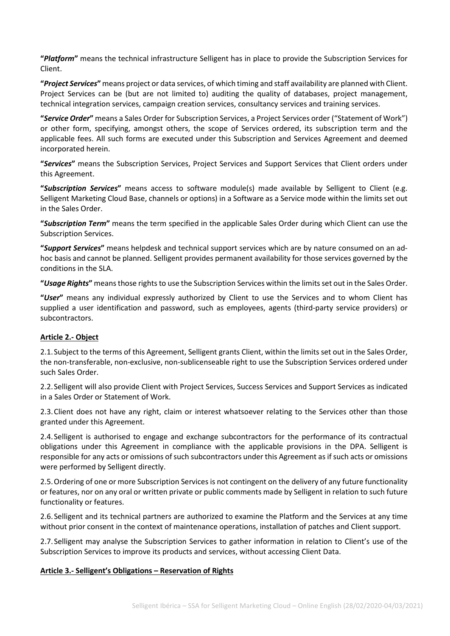**"***Platform***"** means the technical infrastructure Selligent has in place to provide the Subscription Services for Client.

**"***Project Services***"** means project or data services, of which timing and staff availability are planned with Client. Project Services can be (but are not limited to) auditing the quality of databases, project management, technical integration services, campaign creation services, consultancy services and training services.

**"***Service Order***"** means a Sales Order for Subscription Services, a Project Services order ("Statement of Work") or other form, specifying, amongst others, the scope of Services ordered, its subscription term and the applicable fees. All such forms are executed under this Subscription and Services Agreement and deemed incorporated herein.

**"***Services***"** means the Subscription Services, Project Services and Support Services that Client orders under this Agreement.

**"***Subscription Services***"** means access to software module(s) made available by Selligent to Client (e.g. Selligent Marketing Cloud Base, channels or options) in a Software as a Service mode within the limits set out in the Sales Order.

**"***Subscription Term***"** means the term specified in the applicable Sales Order during which Client can use the Subscription Services.

**"***Support Services***"** means helpdesk and technical support services which are by nature consumed on an adhoc basis and cannot be planned. Selligent provides permanent availability for those services governed by the conditions in the SLA.

**"***Usage Rights***"** means those rights to use the Subscription Services within the limits set out in the Sales Order.

**"***User***"** means any individual expressly authorized by Client to use the Services and to whom Client has supplied a user identification and password, such as employees, agents (third-party service providers) or subcontractors.

#### **Article 2.- Object**

2.1.Subject to the terms of this Agreement, Selligent grants Client, within the limits set out in the Sales Order, the non-transferable, non-exclusive, non-sublicenseable right to use the Subscription Services ordered under such Sales Order.

2.2.Selligent will also provide Client with Project Services, Success Services and Support Services as indicated in a Sales Order or Statement of Work.

2.3.Client does not have any right, claim or interest whatsoever relating to the Services other than those granted under this Agreement.

2.4.Selligent is authorised to engage and exchange subcontractors for the performance of its contractual obligations under this Agreement in compliance with the applicable provisions in the DPA. Selligent is responsible for any acts or omissions of such subcontractors under this Agreement as if such acts or omissions were performed by Selligent directly.

2.5.Ordering of one or more Subscription Services is not contingent on the delivery of any future functionality or features, nor on any oral or written private or public comments made by Selligent in relation to such future functionality or features.

2.6.Selligent and its technical partners are authorized to examine the Platform and the Services at any time without prior consent in the context of maintenance operations, installation of patches and Client support.

2.7.Selligent may analyse the Subscription Services to gather information in relation to Client's use of the Subscription Services to improve its products and services, without accessing Client Data.

#### **Article 3.- Selligent's Obligations – Reservation of Rights**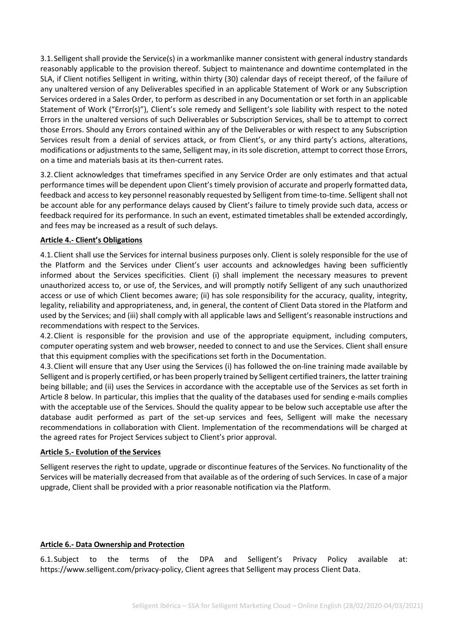3.1.Selligent shall provide the Service(s) in a workmanlike manner consistent with general industry standards reasonably applicable to the provision thereof. Subject to maintenance and downtime contemplated in the SLA, if Client notifies Selligent in writing, within thirty (30) calendar days of receipt thereof, of the failure of any unaltered version of any Deliverables specified in an applicable Statement of Work or any Subscription Services ordered in a Sales Order, to perform as described in any Documentation or set forth in an applicable Statement of Work ("Error(s)"), Client's sole remedy and Selligent's sole liability with respect to the noted Errors in the unaltered versions of such Deliverables or Subscription Services, shall be to attempt to correct those Errors. Should any Errors contained within any of the Deliverables or with respect to any Subscription Services result from a denial of services attack, or from Client's, or any third party's actions, alterations, modifications or adjustments to the same, Selligent may, in its sole discretion, attempt to correct those Errors, on a time and materials basis at its then-current rates.

3.2.Client acknowledges that timeframes specified in any Service Order are only estimates and that actual performance times will be dependent upon Client's timely provision of accurate and properly formatted data, feedback and access to key personnel reasonably requested by Selligent from time-to-time. Selligent shall not be account able for any performance delays caused by Client's failure to timely provide such data, access or feedback required for its performance. In such an event, estimated timetables shall be extended accordingly, and fees may be increased as a result of such delays.

#### **Article 4.- Client's Obligations**

4.1.Client shall use the Services for internal business purposes only. Client is solely responsible for the use of the Platform and the Services under Client's user accounts and acknowledges having been sufficiently informed about the Services specificities. Client (i) shall implement the necessary measures to prevent unauthorized access to, or use of, the Services, and will promptly notify Selligent of any such unauthorized access or use of which Client becomes aware; (ii) has sole responsibility for the accuracy, quality, integrity, legality, reliability and appropriateness, and, in general, the content of Client Data stored in the Platform and used by the Services; and (iii) shall comply with all applicable laws and Selligent's reasonable instructions and recommendations with respect to the Services.

4.2.Client is responsible for the provision and use of the appropriate equipment, including computers, computer operating system and web browser, needed to connect to and use the Services. Client shall ensure that this equipment complies with the specifications set forth in the Documentation.

4.3.Client will ensure that any User using the Services (i) has followed the on-line training made available by Selligent and is properly certified, or has been properly trained by Selligent certified trainers, the latter training being billable; and (ii) uses the Services in accordance with the acceptable use of the Services as set forth in Article 8 below. In particular, this implies that the quality of the databases used for sending e-mails complies with the acceptable use of the Services. Should the quality appear to be below such acceptable use after the database audit performed as part of the set-up services and fees, Selligent will make the necessary recommendations in collaboration with Client. Implementation of the recommendations will be charged at the agreed rates for Project Services subject to Client's prior approval.

#### **Article 5.- Evolution of the Services**

Selligent reserves the right to update, upgrade or discontinue features of the Services. No functionality of the Services will be materially decreased from that available as of the ordering of such Services. In case of a major upgrade, Client shall be provided with a prior reasonable notification via the Platform.

# **Article 6.- Data Ownership and Protection**

6.1.Subject to the terms of the DPA and Selligent's Privacy Policy available at: [https://www.selligent.com/privacy-policy,](https://www.selligent.com/privacy-policy) Client agrees that Selligent may process Client Data.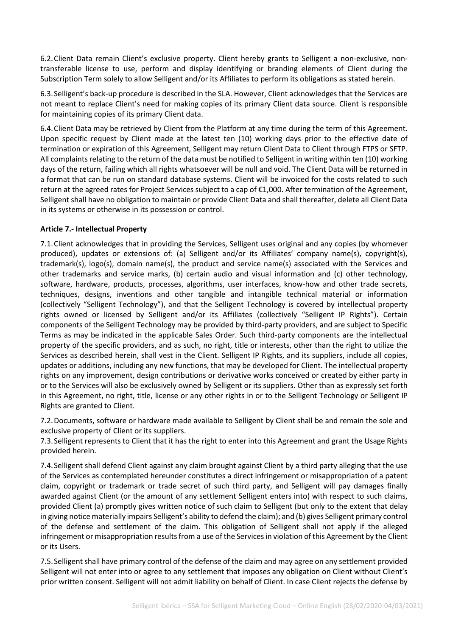6.2.Client Data remain Client's exclusive property. Client hereby grants to Selligent a non-exclusive, nontransferable license to use, perform and display identifying or branding elements of Client during the Subscription Term solely to allow Selligent and/or its Affiliates to perform its obligations as stated herein.

6.3.Selligent's back-up procedure is described in the SLA. However, Client acknowledges that the Services are not meant to replace Client's need for making copies of its primary Client data source. Client is responsible for maintaining copies of its primary Client data.

6.4.Client Data may be retrieved by Client from the Platform at any time during the term of this Agreement. Upon specific request by Client made at the latest ten (10) working days prior to the effective date of termination or expiration of this Agreement, Selligent may return Client Data to Client through FTPS or SFTP. All complaints relating to the return of the data must be notified to Selligent in writing within ten (10) working days of the return, failing which all rights whatsoever will be null and void. The Client Data will be returned in a format that can be run on standard database systems. Client will be invoiced for the costs related to such return at the agreed rates for Project Services subject to a cap of €1,000. After termination of the Agreement, Selligent shall have no obligation to maintain or provide Client Data and shall thereafter, delete all Client Data in its systems or otherwise in its possession or control.

#### **Article 7.- Intellectual Property**

7.1.Client acknowledges that in providing the Services, Selligent uses original and any copies (by whomever produced), updates or extensions of: (a) Selligent and/or its Affiliates' company name(s), copyright(s), trademark(s), logo(s), domain name(s), the product and service name(s) associated with the Services and other trademarks and service marks, (b) certain audio and visual information and (c) other technology, software, hardware, products, processes, algorithms, user interfaces, know-how and other trade secrets, techniques, designs, inventions and other tangible and intangible technical material or information (collectively "Selligent Technology"), and that the Selligent Technology is covered by intellectual property rights owned or licensed by Selligent and/or its Affiliates (collectively "Selligent IP Rights"). Certain components of the Selligent Technology may be provided by third-party providers, and are subject to Specific Terms as may be indicated in the applicable Sales Order. Such third-party components are the intellectual property of the specific providers, and as such, no right, title or interests, other than the right to utilize the Services as described herein, shall vest in the Client. Selligent IP Rights, and its suppliers, include all copies, updates or additions, including any new functions, that may be developed for Client. The intellectual property rights on any improvement, design contributions or derivative works conceived or created by either party in or to the Services will also be exclusively owned by Selligent or its suppliers. Other than as expressly set forth in this Agreement, no right, title, license or any other rights in or to the Selligent Technology or Selligent IP Rights are granted to Client.

7.2.Documents, software or hardware made available to Selligent by Client shall be and remain the sole and exclusive property of Client or its suppliers.

7.3.Selligent represents to Client that it has the right to enter into this Agreement and grant the Usage Rights provided herein.

7.4.Selligent shall defend Client against any claim brought against Client by a third party alleging that the use of the Services as contemplated hereunder constitutes a direct infringement or misappropriation of a patent claim, copyright or trademark or trade secret of such third party, and Selligent will pay damages finally awarded against Client (or the amount of any settlement Selligent enters into) with respect to such claims, provided Client (a) promptly gives written notice of such claim to Selligent (but only to the extent that delay in giving notice materially impairs Selligent's ability to defend the claim); and (b) gives Selligent primary control of the defense and settlement of the claim. This obligation of Selligent shall not apply if the alleged infringement or misappropriation results from a use of the Services in violation of this Agreement by the Client or its Users.

7.5.Selligent shall have primary control of the defense of the claim and may agree on any settlement provided Selligent will not enter into or agree to any settlement that imposes any obligation on Client without Client's prior written consent. Selligent will not admit liability on behalf of Client. In case Client rejects the defense by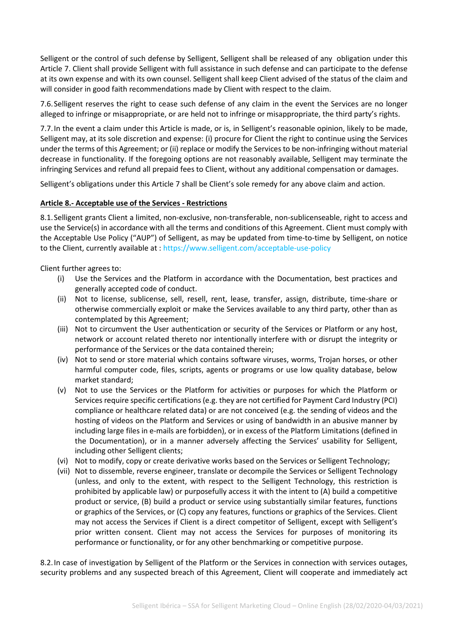Selligent or the control of such defense by Selligent, Selligent shall be released of any obligation under this Article 7. Client shall provide Selligent with full assistance in such defense and can participate to the defense at its own expense and with its own counsel. Selligent shall keep Client advised of the status of the claim and will consider in good faith recommendations made by Client with respect to the claim.

7.6.Selligent reserves the right to cease such defense of any claim in the event the Services are no longer alleged to infringe or misappropriate, or are held not to infringe or misappropriate, the third party's rights.

7.7.In the event a claim under this Article is made, or is, in Selligent's reasonable opinion, likely to be made, Selligent may, at its sole discretion and expense: (i) procure for Client the right to continue using the Services under the terms of this Agreement; or (ii) replace or modify the Services to be non-infringing without material decrease in functionality. If the foregoing options are not reasonably available, Selligent may terminate the infringing Services and refund all prepaid fees to Client, without any additional compensation or damages.

Selligent's obligations under this Article 7 shall be Client's sole remedy for any above claim and action.

#### **Article 8.- Acceptable use of the Services - Restrictions**

8.1.Selligent grants Client a limited, non-exclusive, non-transferable, non-sublicenseable, right to access and use the Service(s) in accordance with all the terms and conditions of this Agreement. Client must comply with the Acceptable Use Policy ("AUP") of Selligent, as may be updated from time-to-time by Selligent, on notice to the Client, currently available at :<https://www.selligent.com/acceptable-use-policy>

Client further agrees to:

- (i) Use the Services and the Platform in accordance with the Documentation, best practices and generally accepted code of conduct.
- (ii) Not to license, sublicense, sell, resell, rent, lease, transfer, assign, distribute, time-share or otherwise commercially exploit or make the Services available to any third party, other than as contemplated by this Agreement;
- (iii) Not to circumvent the User authentication or security of the Services or Platform or any host, network or account related thereto nor intentionally interfere with or disrupt the integrity or performance of the Services or the data contained therein;
- (iv) Not to send or store material which contains software viruses, worms, Trojan horses, or other harmful computer code, files, scripts, agents or programs or use low quality database, below market standard;
- (v) Not to use the Services or the Platform for activities or purposes for which the Platform or Services require specific certifications (e.g. they are not certified for Payment Card Industry (PCI) compliance or healthcare related data) or are not conceived (e.g. the sending of videos and the hosting of videos on the Platform and Services or using of bandwidth in an abusive manner by including large files in e-mails are forbidden), or in excess of the Platform Limitations (defined in the Documentation), or in a manner adversely affecting the Services' usability for Selligent, including other Selligent clients;
- (vi) Not to modify, copy or create derivative works based on the Services or Selligent Technology;
- (vii) Not to dissemble, reverse engineer, translate or decompile the Services or Selligent Technology (unless, and only to the extent, with respect to the Selligent Technology, this restriction is prohibited by applicable law) or purposefully access it with the intent to (A) build a competitive product or service, (B) build a product or service using substantially similar features, functions or graphics of the Services, or (C) copy any features, functions or graphics of the Services. Client may not access the Services if Client is a direct competitor of Selligent, except with Selligent's prior written consent. Client may not access the Services for purposes of monitoring its performance or functionality, or for any other benchmarking or competitive purpose.

8.2.In case of investigation by Selligent of the Platform or the Services in connection with services outages, security problems and any suspected breach of this Agreement, Client will cooperate and immediately act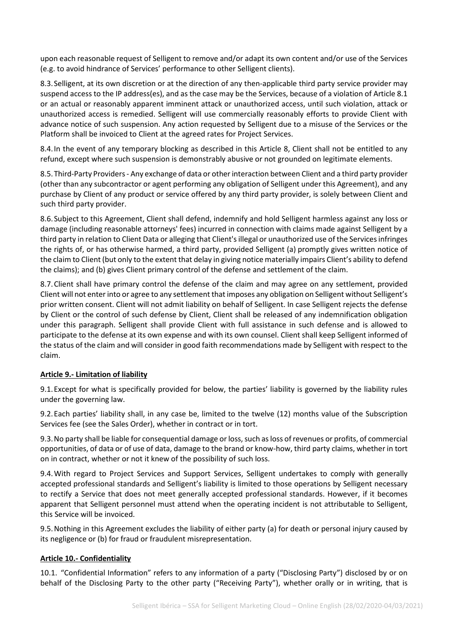upon each reasonable request of Selligent to remove and/or adapt its own content and/or use of the Services (e.g. to avoid hindrance of Services' performance to other Selligent clients).

8.3.Selligent, at its own discretion or at the direction of any then-applicable third party service provider may suspend access to the IP address(es), and as the case may be the Services, because of a violation of Article 8.1 or an actual or reasonably apparent imminent attack or unauthorized access, until such violation, attack or unauthorized access is remedied. Selligent will use commercially reasonably efforts to provide Client with advance notice of such suspension. Any action requested by Selligent due to a misuse of the Services or the Platform shall be invoiced to Client at the agreed rates for Project Services.

8.4.In the event of any temporary blocking as described in this Article 8, Client shall not be entitled to any refund, except where such suspension is demonstrably abusive or not grounded on legitimate elements.

8.5.Third-Party Providers - Any exchange of data or other interaction between Client and a third party provider (other than any subcontractor or agent performing any obligation of Selligent under this Agreement), and any purchase by Client of any product or service offered by any third party provider, is solely between Client and such third party provider.

8.6.Subject to this Agreement, Client shall defend, indemnify and hold Selligent harmless against any loss or damage (including reasonable attorneys' fees) incurred in connection with claims made against Selligent by a third party in relation to Client Data or alleging that Client's illegal or unauthorized use of the Services infringes the rights of, or has otherwise harmed, a third party, provided Selligent (a) promptly gives written notice of the claim to Client (but only to the extent that delay in giving notice materially impairs Client's ability to defend the claims); and (b) gives Client primary control of the defense and settlement of the claim.

8.7.Client shall have primary control the defense of the claim and may agree on any settlement, provided Client will not enter into or agree to any settlement that imposes any obligation on Selligent without Selligent's prior written consent. Client will not admit liability on behalf of Selligent. In case Selligent rejects the defense by Client or the control of such defense by Client, Client shall be released of any indemnification obligation under this paragraph. Selligent shall provide Client with full assistance in such defense and is allowed to participate to the defense at its own expense and with its own counsel. Client shall keep Selligent informed of the status of the claim and will consider in good faith recommendations made by Selligent with respect to the claim.

#### **Article 9.- Limitation of liability**

9.1.Except for what is specifically provided for below, the parties' liability is governed by the liability rules under the governing law.

9.2.Each parties' liability shall, in any case be, limited to the twelve (12) months value of the Subscription Services fee (see the Sales Order), whether in contract or in tort.

9.3.No party shall be liable for consequential damage or loss, such as loss of revenues or profits, of commercial opportunities, of data or of use of data, damage to the brand or know-how, third party claims, whether in tort on in contract, whether or not it knew of the possibility of such loss.

9.4.With regard to Project Services and Support Services, Selligent undertakes to comply with generally accepted professional standards and Selligent's liability is limited to those operations by Selligent necessary to rectify a Service that does not meet generally accepted professional standards. However, if it becomes apparent that Selligent personnel must attend when the operating incident is not attributable to Selligent, this Service will be invoiced.

9.5.Nothing in this Agreement excludes the liability of either party (a) for death or personal injury caused by its negligence or (b) for fraud or fraudulent misrepresentation.

#### **Article 10.- Confidentiality**

10.1. "Confidential Information" refers to any information of a party ("Disclosing Party") disclosed by or on behalf of the Disclosing Party to the other party ("Receiving Party"), whether orally or in writing, that is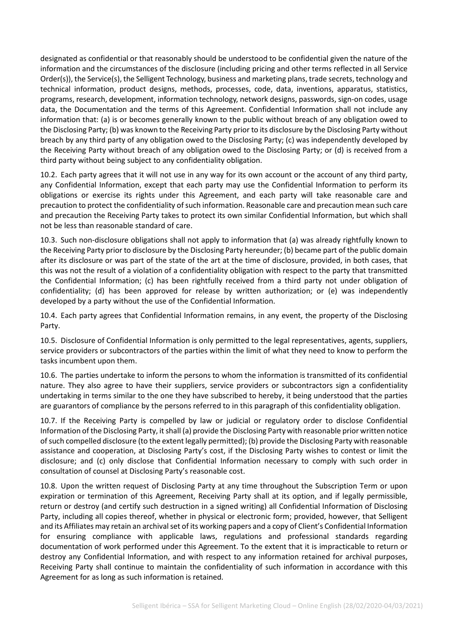designated as confidential or that reasonably should be understood to be confidential given the nature of the information and the circumstances of the disclosure (including pricing and other terms reflected in all Service Order(s)), the Service(s), the Selligent Technology, business and marketing plans, trade secrets, technology and technical information, product designs, methods, processes, code, data, inventions, apparatus, statistics, programs, research, development, information technology, network designs, passwords, sign-on codes, usage data, the Documentation and the terms of this Agreement. Confidential Information shall not include any information that: (a) is or becomes generally known to the public without breach of any obligation owed to the Disclosing Party; (b) was known to the Receiving Party prior to its disclosure by the Disclosing Party without breach by any third party of any obligation owed to the Disclosing Party; (c) was independently developed by the Receiving Party without breach of any obligation owed to the Disclosing Party; or (d) is received from a third party without being subject to any confidentiality obligation.

10.2. Each party agrees that it will not use in any way for its own account or the account of any third party, any Confidential Information, except that each party may use the Confidential Information to perform its obligations or exercise its rights under this Agreement, and each party will take reasonable care and precaution to protect the confidentiality of such information. Reasonable care and precaution mean such care and precaution the Receiving Party takes to protect its own similar Confidential Information, but which shall not be less than reasonable standard of care.

10.3. Such non-disclosure obligations shall not apply to information that (a) was already rightfully known to the Receiving Party prior to disclosure by the Disclosing Party hereunder; (b) became part of the public domain after its disclosure or was part of the state of the art at the time of disclosure, provided, in both cases, that this was not the result of a violation of a confidentiality obligation with respect to the party that transmitted the Confidential Information; (c) has been rightfully received from a third party not under obligation of confidentiality; (d) has been approved for release by written authorization; or (e) was independently developed by a party without the use of the Confidential Information.

10.4. Each party agrees that Confidential Information remains, in any event, the property of the Disclosing Party.

10.5. Disclosure of Confidential Information is only permitted to the legal representatives, agents, suppliers, service providers or subcontractors of the parties within the limit of what they need to know to perform the tasks incumbent upon them.

10.6. The parties undertake to inform the persons to whom the information is transmitted of its confidential nature. They also agree to have their suppliers, service providers or subcontractors sign a confidentiality undertaking in terms similar to the one they have subscribed to hereby, it being understood that the parties are guarantors of compliance by the persons referred to in this paragraph of this confidentiality obligation.

10.7. If the Receiving Party is compelled by law or judicial or regulatory order to disclose Confidential Information of the Disclosing Party, it shall (a) provide the Disclosing Party with reasonable prior written notice of such compelled disclosure (to the extent legally permitted); (b) provide the Disclosing Party with reasonable assistance and cooperation, at Disclosing Party's cost, if the Disclosing Party wishes to contest or limit the disclosure; and (c) only disclose that Confidential Information necessary to comply with such order in consultation of counsel at Disclosing Party's reasonable cost.

10.8. Upon the written request of Disclosing Party at any time throughout the Subscription Term or upon expiration or termination of this Agreement, Receiving Party shall at its option, and if legally permissible, return or destroy (and certify such destruction in a signed writing) all Confidential Information of Disclosing Party, including all copies thereof, whether in physical or electronic form; provided, however, that Selligent and its Affiliates may retain an archival set of its working papers and a copy of Client's Confidential Information for ensuring compliance with applicable laws, regulations and professional standards regarding documentation of work performed under this Agreement. To the extent that it is impracticable to return or destroy any Confidential Information, and with respect to any information retained for archival purposes, Receiving Party shall continue to maintain the confidentiality of such information in accordance with this Agreement for as long as such information is retained.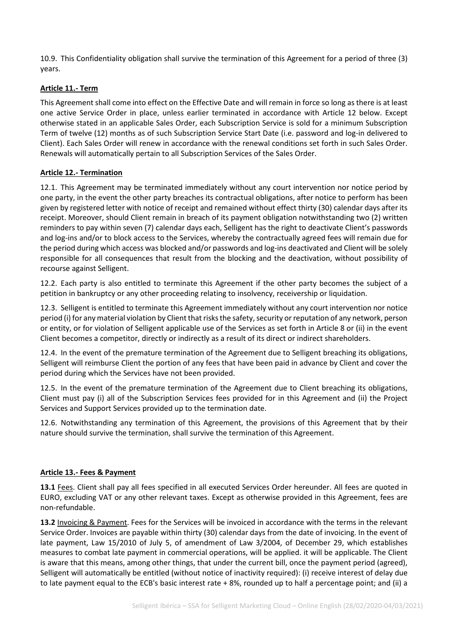10.9. This Confidentiality obligation shall survive the termination of this Agreement for a period of three (3) years.

### **Article 11.- Term**

This Agreement shall come into effect on the Effective Date and will remain in force so long as there is at least one active Service Order in place, unless earlier terminated in accordance with Article 12 below. Except otherwise stated in an applicable Sales Order, each Subscription Service is sold for a minimum Subscription Term of twelve (12) months as of such Subscription Service Start Date (i.e. password and log-in delivered to Client). Each Sales Order will renew in accordance with the renewal conditions set forth in such Sales Order. Renewals will automatically pertain to all Subscription Services of the Sales Order.

#### **Article 12.- Termination**

12.1. This Agreement may be terminated immediately without any court intervention nor notice period by one party, in the event the other party breaches its contractual obligations, after notice to perform has been given by registered letter with notice of receipt and remained without effect thirty (30) calendar days after its receipt. Moreover, should Client remain in breach of its payment obligation notwithstanding two (2) written reminders to pay within seven (7) calendar days each, Selligent has the right to deactivate Client's passwords and log-ins and/or to block access to the Services, whereby the contractually agreed fees will remain due for the period during which access was blocked and/or passwords and log-ins deactivated and Client will be solely responsible for all consequences that result from the blocking and the deactivation, without possibility of recourse against Selligent.

12.2. Each party is also entitled to terminate this Agreement if the other party becomes the subject of a petition in bankruptcy or any other proceeding relating to insolvency, receivership or liquidation.

12.3. Selligent is entitled to terminate this Agreement immediately without any court intervention nor notice period (i) for any material violation by Client that risks the safety, security or reputation of any network, person or entity, or for violation of Selligent applicable use of the Services as set forth in Article 8 or (ii) in the event Client becomes a competitor, directly or indirectly as a result of its direct or indirect shareholders.

12.4. In the event of the premature termination of the Agreement due to Selligent breaching its obligations, Selligent will reimburse Client the portion of any fees that have been paid in advance by Client and cover the period during which the Services have not been provided.

12.5. In the event of the premature termination of the Agreement due to Client breaching its obligations, Client must pay (i) all of the Subscription Services fees provided for in this Agreement and (ii) the Project Services and Support Services provided up to the termination date.

12.6. Notwithstanding any termination of this Agreement, the provisions of this Agreement that by their nature should survive the termination, shall survive the termination of this Agreement.

#### **Article 13.- Fees & Payment**

**13.1** Fees. Client shall pay all fees specified in all executed Services Order hereunder. All fees are quoted in EURO, excluding VAT or any other relevant taxes. Except as otherwise provided in this Agreement, fees are non-refundable.

**13.2** Invoicing & Payment. Fees for the Services will be invoiced in accordance with the terms in the relevant Service Order. Invoices are payable within thirty (30) calendar days from the date of invoicing. In the event of late payment, Law 15/2010 of July 5, of amendment of Law 3/2004, of December 29, which establishes measures to combat late payment in commercial operations, will be applied. it will be applicable. The Client is aware that this means, among other things, that under the current bill, once the payment period (agreed), Selligent will automatically be entitled (without notice of inactivity required): (i) receive interest of delay due to late payment equal to the ECB's basic interest rate + 8%, rounded up to half a percentage point; and (ii) a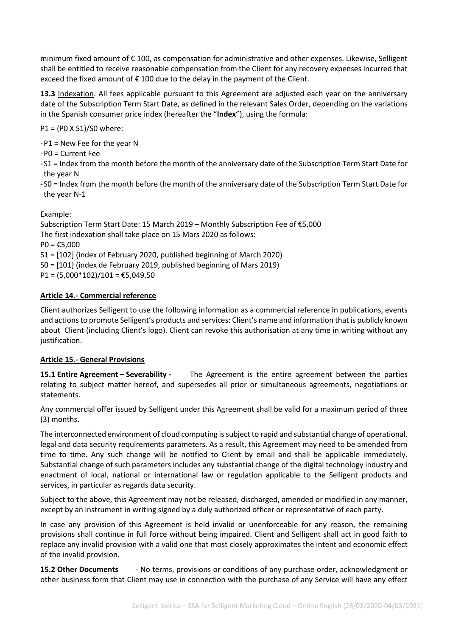minimum fixed amount of € 100, as compensation for administrative and other expenses. Likewise, Selligent shall be entitled to receive reasonable compensation from the Client for any recovery expenses incurred that exceed the fixed amount of € 100 due to the delay in the payment of the Client.

**13.3** Indexation. All fees applicable pursuant to this Agreement are adjusted each year on the anniversary date of the Subscription Term Start Date, as defined in the relevant Sales Order, depending on the variations in the Spanish consumer price index (hereafter the "**Index**"), using the formula:

P1 = (P0 X S1)/S0 where:

-P1 = New Fee for the year N

-P0 = Current Fee

-S1 = Index from the month before the month of the anniversary date of the Subscription Term Start Date for the year N

-S0 = Index from the month before the month of the anniversary date of the Subscription Term Start Date for the year N-1

Example:

Subscription Term Start Date: 15 March 2019 – Monthly Subscription Fee of €5,000 The first indexation shall take place on 15 Mars 2020 as follows:

 $PO = £5,000$ 

S1 = [102] (index of February 2020, published beginning of March 2020)

S0 = [101] (index de February 2019, published beginning of Mars 2019)

P1 =  $(5,000*102)/101$  = €5,049.50

#### **Article 14.- Commercial reference**

Client authorizes Selligent to use the following information as a commercial reference in publications, events and actions to promote Selligent's products and services: Client's name and information that is publicly known about Client (including Client's logo). Client can revoke this authorisation at any time in writing without any justification.

# **Article 15.- General Provisions**

**15.1 Entire Agreement – Severability -** The Agreement is the entire agreement between the parties relating to subject matter hereof, and supersedes all prior or simultaneous agreements, negotiations or statements.

Any commercial offer issued by Selligent under this Agreement shall be valid for a maximum period of three (3) months.

The interconnected environment of cloud computing issubject to rapid and substantial change of operational, legal and data security requirements parameters. As a result, this Agreement may need to be amended from time to time. Any such change will be notified to Client by email and shall be applicable immediately. Substantial change of such parameters includes any substantial change of the digital technology industry and enactment of local, national or international law or regulation applicable to the Selligent products and services, in particular as regards data security.

Subject to the above, this Agreement may not be released, discharged, amended or modified in any manner, except by an instrument in writing signed by a duly authorized officer or representative of each party.

In case any provision of this Agreement is held invalid or unenforceable for any reason, the remaining provisions shall continue in full force without being impaired. Client and Selligent shall act in good faith to replace any invalid provision with a valid one that most closely approximates the intent and economic effect of the invalid provision.

**15.2 Other Documents** - No terms, provisions or conditions of any purchase order, acknowledgment or other business form that Client may use in connection with the purchase of any Service will have any effect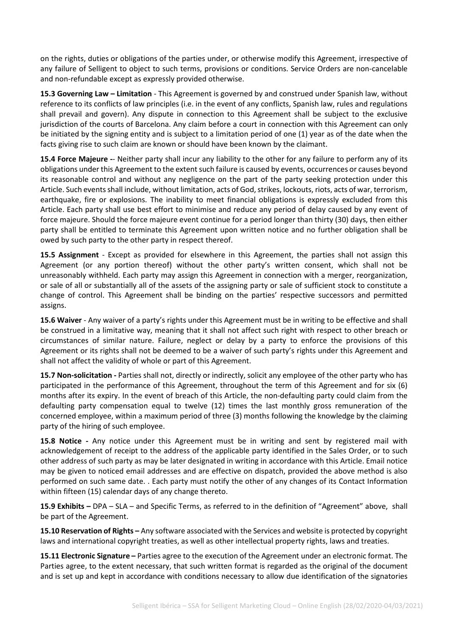on the rights, duties or obligations of the parties under, or otherwise modify this Agreement, irrespective of any failure of Selligent to object to such terms, provisions or conditions. Service Orders are non-cancelable and non-refundable except as expressly provided otherwise.

**15.3 Governing Law – Limitation** - This Agreement is governed by and construed under Spanish law, without reference to its conflicts of law principles (i.e. in the event of any conflicts, Spanish law, rules and regulations shall prevail and govern). Any dispute in connection to this Agreement shall be subject to the exclusive jurisdiction of the courts of Barcelona. Any claim before a court in connection with this Agreement can only be initiated by the signing entity and is subject to a limitation period of one (1) year as of the date when the facts giving rise to such claim are known or should have been known by the claimant.

**15.4 Force Majeure -**- Neither party shall incur any liability to the other for any failure to perform any of its obligations under this Agreement to the extent such failure is caused by events, occurrences or causes beyond its reasonable control and without any negligence on the part of the party seeking protection under this Article. Such eventsshall include, without limitation, acts of God, strikes, lockouts, riots, acts of war, terrorism, earthquake, fire or explosions. The inability to meet financial obligations is expressly excluded from this Article. Each party shall use best effort to minimise and reduce any period of delay caused by any event of force majeure. Should the force majeure event continue for a period longer than thirty (30) days, then either party shall be entitled to terminate this Agreement upon written notice and no further obligation shall be owed by such party to the other party in respect thereof.

**15.5 Assignment** - Except as provided for elsewhere in this Agreement, the parties shall not assign this Agreement (or any portion thereof) without the other party's written consent, which shall not be unreasonably withheld. Each party may assign this Agreement in connection with a merger, reorganization, or sale of all or substantially all of the assets of the assigning party or sale of sufficient stock to constitute a change of control. This Agreement shall be binding on the parties' respective successors and permitted assigns.

**15.6 Waiver** - Any waiver of a party's rights under this Agreement must be in writing to be effective and shall be construed in a limitative way, meaning that it shall not affect such right with respect to other breach or circumstances of similar nature. Failure, neglect or delay by a party to enforce the provisions of this Agreement or its rights shall not be deemed to be a waiver of such party's rights under this Agreement and shall not affect the validity of whole or part of this Agreement.

**15.7 Non-solicitation -** Parties shall not, directly or indirectly, solicit any employee of the other party who has participated in the performance of this Agreement, throughout the term of this Agreement and for six (6) months after its expiry. In the event of breach of this Article, the non-defaulting party could claim from the defaulting party compensation equal to twelve (12) times the last monthly gross remuneration of the concerned employee, within a maximum period of three (3) months following the knowledge by the claiming party of the hiring of such employee.

**15.8 Notice -** Any notice under this Agreement must be in writing and sent by registered mail with acknowledgement of receipt to the address of the applicable party identified in the Sales Order, or to such other address of such party as may be later designated in writing in accordance with this Article. Email notice may be given to noticed email addresses and are effective on dispatch, provided the above method is also performed on such same date. . Each party must notify the other of any changes of its Contact Information within fifteen (15) calendar days of any change thereto.

**15.9 Exhibits –** DPA – SLA – and Specific Terms, as referred to in the definition of "Agreement" above, shall be part of the Agreement.

**15.10 Reservation of Rights –** Any software associated with the Services and website is protected by copyright laws and international copyright treaties, as well as other intellectual property rights, laws and treaties.

**15.11 Electronic Signature –** Parties agree to the execution of the Agreement under an electronic format. The Parties agree, to the extent necessary, that such written format is regarded as the original of the document and is set up and kept in accordance with conditions necessary to allow due identification of the signatories